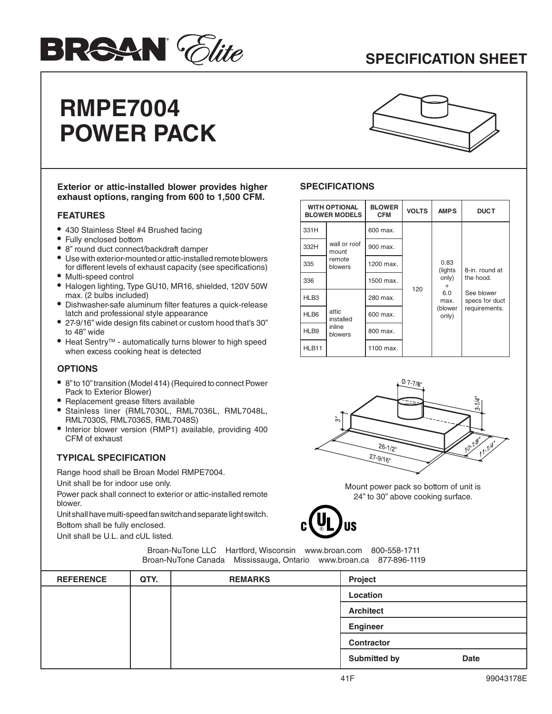# **BRSAN** *Clite*

### **SPECIFICATION SHEET**

## **RMPE7004 POWER PACK**



#### **Exterior or attic-installed blower provides higher exhaust options, ranging from 600 to 1,500 CFM.**

#### **FEATURES**

- **•** 430 Stainless Steel #4 Brushed facing
- **•** Fully enclosed bottom
- **•** 8" round duct connect/backdraft damper
- **•** Use with exterior-mounted or attic-installed remote blowers for different levels of exhaust capacity (see specifications)
- **•** Multi-speed control
- **•** Halogen lighting, Type GU10, MR16, shielded, 120V 50W max. (2 bulbs included)
- **•** Dishwasher-safe aluminum filter features a quick-release latch and professional style appearance
- **•** 27-9/16" wide design fits cabinet or custom hood that's 30" to 48" wide
- **•** Heat SentryTM automatically turns blower to high speed when excess cooking heat is detected

#### **OPTIONS**

- **•** 8" to 10" transition (Model 414) (Required to connect Power Pack to Exterior Blower)
- **•** Replacement grease filters available
- **•** Stainless liner (RML7030L, RML7036L, RML7048L, RML7030S, RML7036S, RML7048S)
- **•** Interior blower version (RMP1) available, providing 400 CFM of exhaust

#### **TYPICAL SPECIFICATION**

Range hood shall be Broan Model RMPE7004.

Unit shall be for indoor use only.

Power pack shall connect to exterior or attic-installed remote blower.

Unit shall have multi-speed fan switch and separate light switch. Bottom shall be fully enclosed.

Unit shall be U.L. and cUL listed.

#### **SPECIFICATIONS**

| <b>WITH OPTIONAL</b><br><b>BLOWER MODELS</b> |                                            | <b>BLOWER</b><br><b>CFM</b> | <b>VOLTS</b> | <b>AMPS</b>                                                               | <b>DUCT</b>                                                                  |
|----------------------------------------------|--------------------------------------------|-----------------------------|--------------|---------------------------------------------------------------------------|------------------------------------------------------------------------------|
| 331H                                         |                                            | 600 max.                    | 120          | 0.83<br>(lights)<br>only)<br>$\ddot{}$<br>6.0<br>max.<br>(blower<br>only) | 8-in. round at<br>the hood.<br>See blower<br>specs for duct<br>requirements. |
| 332H                                         | wall or roof<br>mount<br>remote<br>blowers | 900 max.                    |              |                                                                           |                                                                              |
| 335                                          |                                            | 1200 max.                   |              |                                                                           |                                                                              |
| 336                                          |                                            | 1500 max.                   |              |                                                                           |                                                                              |
| HLB3                                         | attic<br>installed<br>inline<br>blowers    | 280 max.                    |              |                                                                           |                                                                              |
| HLB6                                         |                                            | 600 max.                    |              |                                                                           |                                                                              |
| HLB9                                         |                                            | 800 max.                    |              |                                                                           |                                                                              |
| HLB11                                        |                                            | 1100 max.                   |              |                                                                           |                                                                              |



Mount power pack so bottom of unit is 24" to 30" above cooking surface.



Broan-NuTone LLC Hartford, Wisconsin www.broan.com 800-558-1711 Broan-NuTone Canada Mississauga, Ontario www.broan.ca 877-896-1119

| <b>REFERENCE</b> | QTY. | <b>REMARKS</b> | Project             |             |
|------------------|------|----------------|---------------------|-------------|
|                  |      |                | Location            |             |
|                  |      |                | <b>Architect</b>    |             |
|                  |      |                | <b>Engineer</b>     |             |
|                  |      |                | <b>Contractor</b>   |             |
|                  |      |                | <b>Submitted by</b> | <b>Date</b> |
|                  |      |                |                     |             |